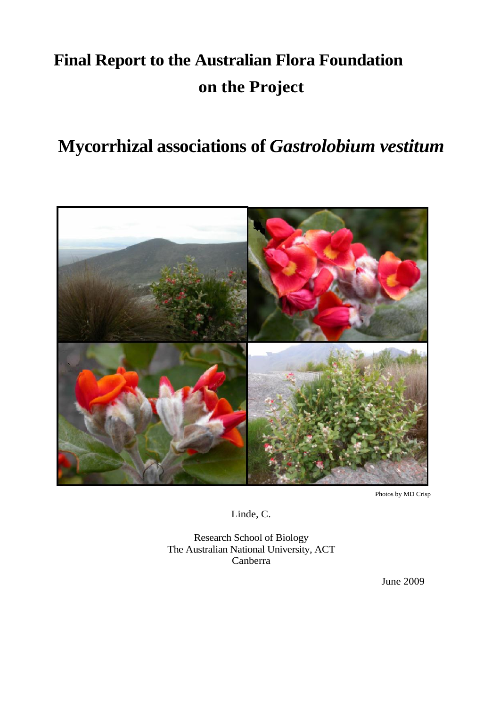# **Final Report to the Australian Flora Foundation on the Project**

## **Mycorrhizal associations of** *Gastrolobium vestitum*



Photos by MD Crisp

Linde, C.

Research School of Biology The Australian National University, ACT Canberra

June 2009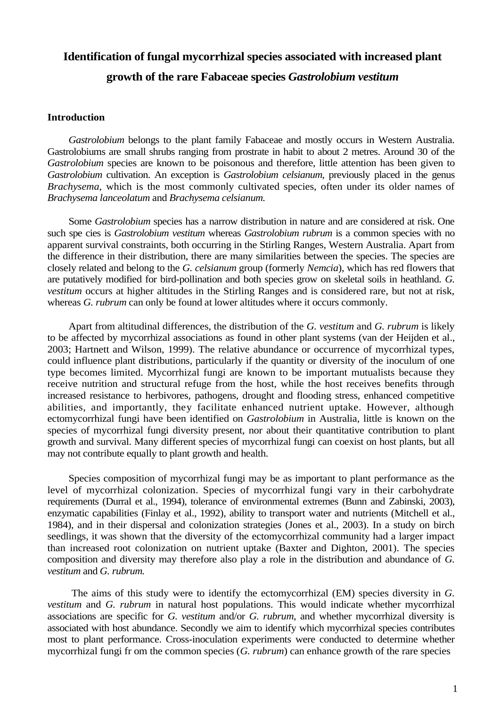## **Identification of fungal mycorrhizal species associated with increased plant growth of the rare Fabaceae species** *Gastrolobium vestitum*

## **Introduction**

*Gastrolobium* belongs to the plant family Fabaceae and mostly occurs in Western Australia. Gastrolobiums are small shrubs ranging from prostrate in habit to about 2 metres. Around 30 of the *Gastrolobium* species are known to be poisonous and therefore, little attention has been given to *Gastrolobium* cultivation. An exception is *Gastrolobium celsianum*, previously placed in the genus *Brachysema*, which is the most commonly cultivated species, often under its older names of *Brachysema lanceolatum* and *Brachysema celsianum.*

Some *Gastrolobium* species has a narrow distribution in nature and are considered at risk. One such spe cies is *Gastrolobium vestitum* whereas *Gastrolobium rubrum* is a common species with no apparent survival constraints, both occurring in the Stirling Ranges, Western Australia. Apart from the difference in their distribution, there are many similarities between the species. The species are closely related and belong to the *G. celsianum* group (formerly *Nemcia*), which has red flowers that are putatively modified for bird-pollination and both species grow on skeletal soils in heathland. *G. vestitum* occurs at higher altitudes in the Stirling Ranges and is considered rare, but not at risk, whereas *G. rubrum* can only be found at lower altitudes where it occurs commonly.

Apart from altitudinal differences, the distribution of the *G. vestitum* and *G. rubrum* is likely to be affected by mycorrhizal associations as found in other plant systems (van der Heijden et al., 2003; Hartnett and Wilson, 1999). The relative abundance or occurrence of mycorrhizal types, could influence plant distributions, particularly if the quantity or diversity of the inoculum of one type becomes limited. Mycorrhizal fungi are known to be important mutualists because they receive nutrition and structural refuge from the host, while the host receives benefits through increased resistance to herbivores, pathogens, drought and flooding stress, enhanced competitive abilities, and importantly, they facilitate enhanced nutrient uptake. However, although ectomycorrhizal fungi have been identified on *Gastrolobium* in Australia, little is known on the species of mycorrhizal fungi diversity present, nor about their quantitative contribution to plant growth and survival. Many different species of mycorrhizal fungi can coexist on host plants, but all may not contribute equally to plant growth and health.

Species composition of mycorrhizal fungi may be as important to plant performance as the level of mycorrhizal colonization. Species of mycorrhizal fungi vary in their carbohydrate requirements (Durral et al., 1994), tolerance of environmental extremes (Bunn and Zabinski, 2003), enzymatic capabilities (Finlay et al., 1992), ability to transport water and nutrients (Mitchell et al., 1984), and in their dispersal and colonization strategies (Jones et al., 2003). In a study on birch seedlings, it was shown that the diversity of the ectomycorrhizal community had a larger impact than increased root colonization on nutrient uptake (Baxter and Dighton, 2001). The species composition and diversity may therefore also play a role in the distribution and abundance of *G. vestitum* and *G. rubrum.*

The aims of this study were to identify the ectomycorrhizal (EM) species diversity in *G. vestitum* and *G. rubrum* in natural host populations. This would indicate whether mycorrhizal associations are specific for *G. vestitum* and/or *G. rubrum*, and whether mycorrhizal diversity is associated with host abundance. Secondly we aim to identify which mycorrhizal species contributes most to plant performance. Cross-inoculation experiments were conducted to determine whether mycorrhizal fungi fr om the common species (*G. rubrum*) can enhance growth of the rare species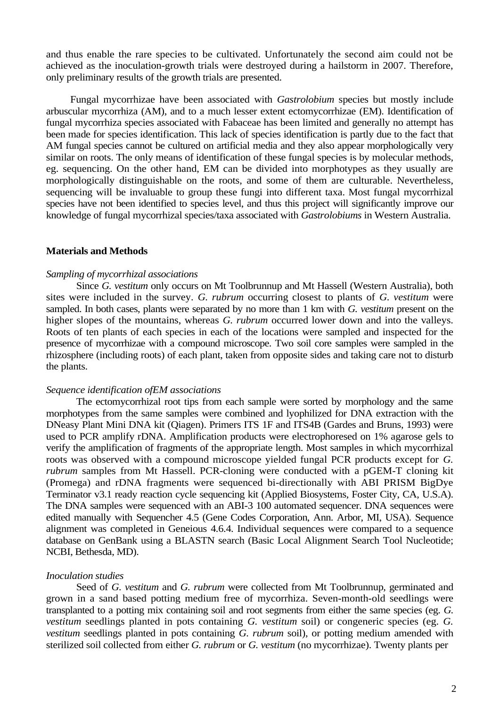and thus enable the rare species to be cultivated. Unfortunately the second aim could not be achieved as the inoculation-growth trials were destroyed during a hailstorm in 2007. Therefore, only preliminary results of the growth trials are presented.

Fungal mycorrhizae have been associated with *Gastrolobium* species but mostly include arbuscular mycorrhiza (AM), and to a much lesser extent ectomycorrhizae (EM). Identification of fungal mycorrhiza species associated with Fabaceae has been limited and generally no attempt has been made for species identification. This lack of species identification is partly due to the fact that AM fungal species cannot be cultured on artificial media and they also appear morphologically very similar on roots. The only means of identification of these fungal species is by molecular methods, eg. sequencing. On the other hand, EM can be divided into morphotypes as they usually are morphologically distinguishable on the roots, and some of them are culturable. Nevertheless, sequencing will be invaluable to group these fungi into different taxa. Most fungal mycorrhizal species have not been identified to species level, and thus this project will significantly improve our knowledge of fungal mycorrhizal species/taxa associated with *Gastrolobiums* in Western Australia.

## **Materials and Methods**

#### *Sampling of mycorrhizal associations*

Since *G. vestitum* only occurs on Mt Toolbrunnup and Mt Hassell (Western Australia), both sites were included in the survey. *G. rubrum* occurring closest to plants of *G. vestitum* were sampled. In both cases, plants were separated by no more than 1 km with *G. vestitum* present on the higher slopes of the mountains, whereas *G. rubrum* occurred lower down and into the valleys. Roots of ten plants of each species in each of the locations were sampled and inspected for the presence of mycorrhizae with a compound microscope. Two soil core samples were sampled in the rhizosphere (including roots) of each plant, taken from opposite sides and taking care not to disturb the plants.

#### *Sequence identification ofEM associations*

The ectomycorrhizal root tips from each sample were sorted by morphology and the same morphotypes from the same samples were combined and lyophilized for DNA extraction with the DNeasy Plant Mini DNA kit (Qiagen). Primers ITS 1F and ITS4B (Gardes and Bruns, 1993) were used to PCR amplify rDNA. Amplification products were electrophoresed on 1% agarose gels to verify the amplification of fragments of the appropriate length. Most samples in which mycorrhizal roots was observed with a compound microscope yielded fungal PCR products except for *G. rubrum* samples from Mt Hassell. PCR-cloning were conducted with a pGEM-T cloning kit (Promega) and rDNA fragments were sequenced bi-directionally with ABI PRISM BigDye Terminator v3.1 ready reaction cycle sequencing kit (Applied Biosystems, Foster City, CA, U.S.A). The DNA samples were sequenced with an ABI-3 100 automated sequencer. DNA sequences were edited manually with Sequencher 4.5 (Gene Codes Corporation, Ann. Arbor, MI, USA). Sequence alignment was completed in Geneious 4.6.4. Individual sequences were compared to a sequence database on GenBank using a BLASTN search (Basic Local Alignment Search Tool Nucleotide; NCBI, Bethesda, MD).

#### *Inoculation studies*

Seed of *G. vestitum* and *G. rubrum* were collected from Mt Toolbrunnup, germinated and grown in a sand based potting medium free of mycorrhiza. Seven-month-old seedlings were transplanted to a potting mix containing soil and root segments from either the same species (eg. *G. vestitum* seedlings planted in pots containing *G. vestitum* soil) or congeneric species (eg. *G. vestitum* seedlings planted in pots containing *G. rubrum* soil), or potting medium amended with sterilized soil collected from either *G. rubrum* or *G. vestitum* (no mycorrhizae). Twenty plants per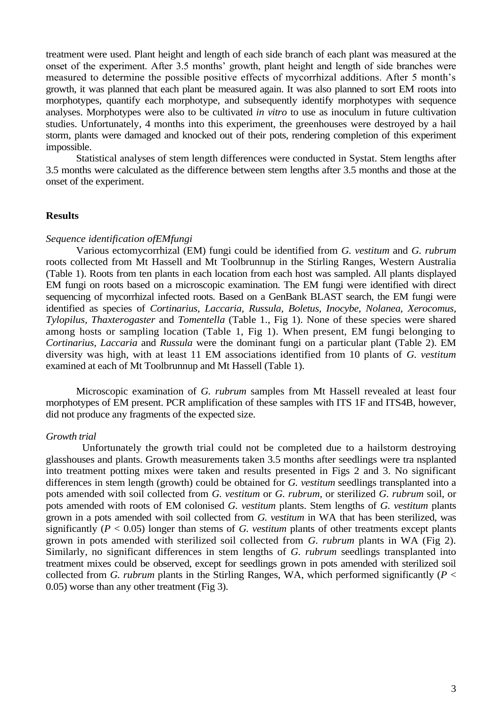treatment were used. Plant height and length of each side branch of each plant was measured at the onset of the experiment. After 3.5 months' growth, plant height and length of side branches were measured to determine the possible positive effects of mycorrhizal additions. After 5 month's growth, it was planned that each plant be measured again. It was also planned to sort EM roots into morphotypes, quantify each morphotype, and subsequently identify morphotypes with sequence analyses. Morphotypes were also to be cultivated *in vitro* to use as inoculum in future cultivation studies. Unfortunately, 4 months into this experiment, the greenhouses were destroyed by a hail storm, plants were damaged and knocked out of their pots, rendering completion of this experiment impossible.

Statistical analyses of stem length differences were conducted in Systat. Stem lengths after 3.5 months were calculated as the difference between stem lengths after 3.5 months and those at the onset of the experiment.

## **Results**

#### *Sequence identification ofEMfungi*

Various ectomycorrhizal (EM) fungi could be identified from *G. vestitum* and *G. rubrum*  roots collected from Mt Hassell and Mt Toolbrunnup in the Stirling Ranges, Western Australia (Table 1). Roots from ten plants in each location from each host was sampled. All plants displayed EM fungi on roots based on a microscopic examination. The EM fungi were identified with direct sequencing of mycorrhizal infected roots. Based on a GenBank BLAST search, the EM fungi were identified as species of *Cortinarius, Laccaria, Russula, Boletus, Inocybe, Nolanea, Xerocomus, Tylopilus, Thaxterogaster* and *Tomentella* (Table 1., Fig 1). None of these species were shared among hosts or sampling location (Table 1, Fig 1). When present, EM fungi belonging to *Cortinarius, Laccaria* and *Russula* were the dominant fungi on a particular plant (Table 2). EM diversity was high, with at least 11 EM associations identified from 10 plants of *G. vestitum*  examined at each of Mt Toolbrunnup and Mt Hassell (Table 1).

Microscopic examination of *G. rubrum* samples from Mt Hassell revealed at least four morphotypes of EM present. PCR amplification of these samples with ITS 1F and ITS4B, however, did not produce any fragments of the expected size.

### *Growth trial*

Unfortunately the growth trial could not be completed due to a hailstorm destroying glasshouses and plants. Growth measurements taken 3.5 months after seedlings were tra nsplanted into treatment potting mixes were taken and results presented in Figs 2 and 3. No significant differences in stem length (growth) could be obtained for *G. vestitum* seedlings transplanted into a pots amended with soil collected from *G. vestitum* or *G. rubrum,* or sterilized *G. rubrum* soil, or pots amended with roots of EM colonised *G. vestitum* plants. Stem lengths of *G. vestitum* plants grown in a pots amended with soil collected from *G. vestitum* in WA that has been sterilized, was significantly ( $P < 0.05$ ) longer than stems of *G. vestitum* plants of other treatments except plants grown in pots amended with sterilized soil collected from *G. rubrum* plants in WA (Fig 2). Similarly, no significant differences in stem lengths of *G. rubrum* seedlings transplanted into treatment mixes could be observed, except for seedlings grown in pots amended with sterilized soil collected from *G. rubrum* plants in the Stirling Ranges, WA, which performed significantly ( $P <$ 0.05) worse than any other treatment (Fig 3).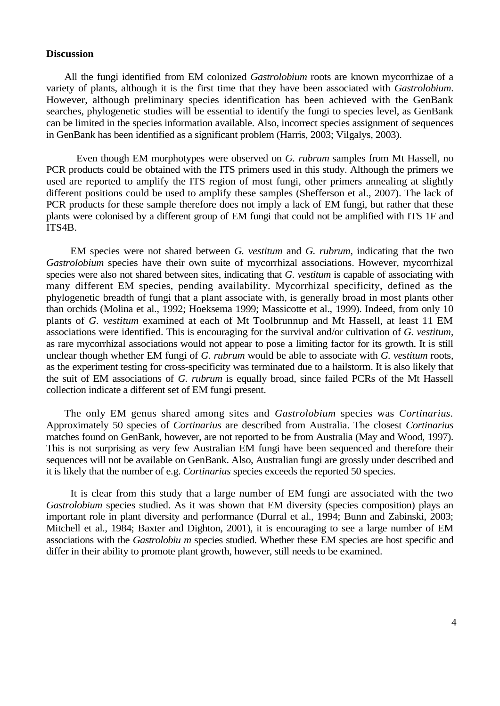#### **Discussion**

All the fungi identified from EM colonized *Gastrolobium* roots are known mycorrhizae of a variety of plants, although it is the first time that they have been associated with *Gastrolobium*. However, although preliminary species identification has been achieved with the GenBank searches, phylogenetic studies will be essential to identify the fungi to species level, as GenBank can be limited in the species information available. Also, incorrect species assignment of sequences in GenBank has been identified as a significant problem (Harris, 2003; Vilgalys, 2003).

Even though EM morphotypes were observed on *G. rubrum* samples from Mt Hassell, no PCR products could be obtained with the ITS primers used in this study. Although the primers we used are reported to amplify the ITS region of most fungi, other primers annealing at slightly different positions could be used to amplify these samples (Shefferson et al., 2007). The lack of PCR products for these sample therefore does not imply a lack of EM fungi, but rather that these plants were colonised by a different group of EM fungi that could not be amplified with ITS 1F and ITS4B.

EM species were not shared between *G. vestitum* and *G. rubrum*, indicating that the two *Gastrolobium* species have their own suite of mycorrhizal associations. However, mycorrhizal species were also not shared between sites, indicating that *G. vestitum* is capable of associating with many different EM species, pending availability. Mycorrhizal specificity, defined as the phylogenetic breadth of fungi that a plant associate with, is generally broad in most plants other than orchids (Molina et al., 1992; Hoeksema 1999; Massicotte et al., 1999). Indeed, from only 10 plants of *G. vestitum* examined at each of Mt Toolbrunnup and Mt Hassell, at least 11 EM associations were identified. This is encouraging for the survival and/or cultivation of *G. vestitum,*  as rare mycorrhizal associations would not appear to pose a limiting factor for its growth. It is still unclear though whether EM fungi of *G. rubrum* would be able to associate with *G. vestitum* roots, as the experiment testing for cross-specificity was terminated due to a hailstorm. It is also likely that the suit of EM associations of *G. rubrum* is equally broad, since failed PCRs of the Mt Hassell collection indicate a different set of EM fungi present.

The only EM genus shared among sites and *Gastrolobium* species was *Cortinarius.*  Approximately 50 species of *Cortinarius* are described from Australia. The closest *Cortinarius*  matches found on GenBank, however, are not reported to be from Australia (May and Wood, 1997). This is not surprising as very few Australian EM fungi have been sequenced and therefore their sequences will not be available on GenBank. Also, Australian fungi are grossly under described and it is likely that the number of e.g. *Cortinarius* species exceeds the reported 50 species.

It is clear from this study that a large number of EM fungi are associated with the two *Gastrolobium* species studied. As it was shown that EM diversity (species composition) plays an important role in plant diversity and performance (Durral et al., 1994; Bunn and Zabinski, 2003; Mitchell et al., 1984; Baxter and Dighton, 2001), it is encouraging to see a large number of EM associations with the *Gastrolobiu m* species studied. Whether these EM species are host specific and differ in their ability to promote plant growth, however, still needs to be examined.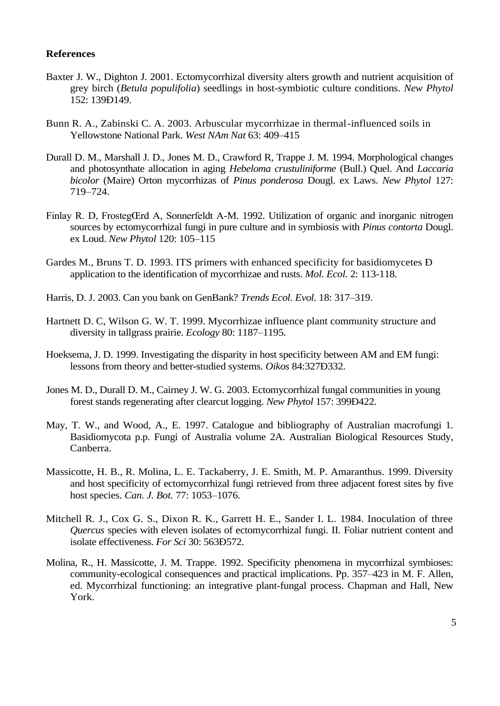## **References**

- Baxter J. W., Dighton J. 2001. Ectomycorrhizal diversity alters growth and nutrient acquisition of grey birch (*Betula populifolia*) seedlings in host-symbiotic culture conditions. *New Phytol*  152: 139Ð149.
- Bunn R. A., Zabinski C. A. 2003. Arbuscular mycorrhizae in thermal-influenced soils in Yellowstone National Park. *West NAm Nat* 63: 409–415
- Durall D. M., Marshall J. D., Jones M. D., Crawford R, Trappe J. M. 1994. Morphological changes and photosynthate allocation in aging *Hebeloma crustuliniforme* (Bull.) Quel. And *Laccaria bicolor* (Maire) Orton mycorrhizas of *Pinus ponderosa* Dougl. ex Laws. *New Phytol* 127: 719–724.
- Finlay R. D, FrostegŒrd A, Sonnerfeldt A-M. 1992. Utilization of organic and inorganic nitrogen sources by ectomycorrhizal fungi in pure culture and in symbiosis with *Pinus contorta* Dougl. ex Loud. *New Phytol* 120: 105–115
- Gardes M., Bruns T. D. 1993. ITS primers with enhanced specificity for basidiomycetes Ð application to the identification of mycorrhizae and rusts. *Mol. Ecol.* 2: 113-118.
- Harris, D. J. 2003. Can you bank on GenBank? *Trends Ecol. Evol.* 18: 317–319.
- Hartnett D. C, Wilson G. W. T. 1999. Mycorrhizae influence plant community structure and diversity in tallgrass prairie. *Ecology* 80: 1187–1195.
- Hoeksema, J. D. 1999. Investigating the disparity in host specificity between AM and EM fungi: lessons from theory and better-studied systems. *Oikos* 84:327Ð332.
- Jones M. D., Durall D. M., Cairney J. W. G. 2003. Ectomycorrhizal fungal communities in young forest stands regenerating after clearcut logging. *New Phytol* 157: 399Ð422.
- May, T. W., and Wood, A., E. 1997. Catalogue and bibliography of Australian macrofungi 1. Basidiomycota p.p. Fungi of Australia volume 2A. Australian Biological Resources Study, Canberra.
- Massicotte, H. B., R. Molina, L. E. Tackaberry, J. E. Smith, M. P. Amaranthus. 1999. Diversity and host specificity of ectomycorrhizal fungi retrieved from three adjacent forest sites by five host species. *Can. J. Bot.* 77: 1053–1076.
- Mitchell R. J., Cox G. S., Dixon R. K., Garrett H. E., Sander I. L. 1984. Inoculation of three *Quercus* species with eleven isolates of ectomycorrhizal fungi. II. Foliar nutrient content and isolate effectiveness. *For Sci* 30: 563Ð572.
- Molina, R., H. Massicotte, J. M. Trappe. 1992. Specificity phenomena in mycorrhizal symbioses: community-ecological consequences and practical implications. Pp. 357–423 in M. F. Allen, ed. Mycorrhizal functioning: an integrative plant-fungal process. Chapman and Hall, New York.